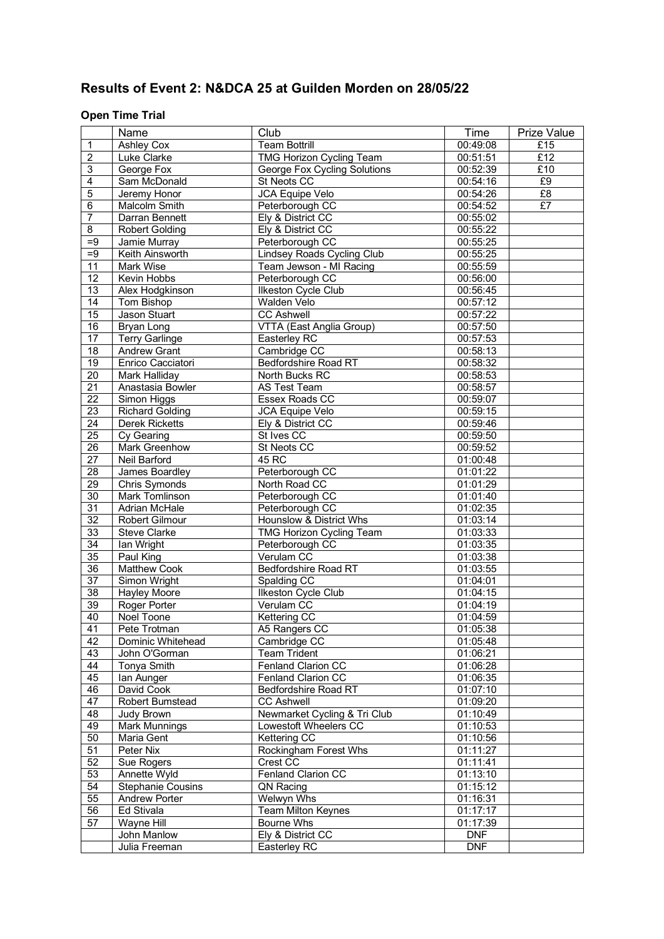# **Results of Event 2: N&DCA 25 at Guilden Morden on 28/05/22**

## **Open Time Trial**

|                 | Name                   | Club                              | Time                   | Prize Value |
|-----------------|------------------------|-----------------------------------|------------------------|-------------|
| $\mathbf{1}$    | <b>Ashley Cox</b>      | <b>Team Bottrill</b>              | 00:49:08               | £15         |
| $\overline{2}$  | Luke Clarke            | <b>TMG Horizon Cycling Team</b>   | 00:51:51               | £12         |
| $\overline{3}$  | George Fox             | George Fox Cycling Solutions      | 00:52:39               | E10         |
| 4               | Sam McDonald           | St Neots CC                       | 00:54:16               | E9          |
| 5               | Jeremy Honor           | <b>JCA Equipe Velo</b>            | 00:54:26               | £8          |
| $\overline{6}$  | <b>Malcolm Smith</b>   | Peterborough CC                   | 00:54:52               | E7          |
| $\overline{7}$  | Darran Bennett         | Ely & District CC                 | 00:55:02               |             |
| $\overline{8}$  | <b>Robert Golding</b>  | Ely & District CC                 | 00:55:22               |             |
| $=9$            | Jamie Murray           | Peterborough CC                   | 00:55:25               |             |
| $=9$            | Keith Ainsworth        | <b>Lindsey Roads Cycling Club</b> | 00:55:25               |             |
| 11              | Mark Wise              | Team Jewson - MI Racing           | 00:55:59               |             |
| $\overline{12}$ | Kevin Hobbs            | Peterborough CC                   | 00:56:00               |             |
| 13              | Alex Hodgkinson        | Ilkeston Cycle Club               | 00:56:45               |             |
| $\overline{14}$ | Tom Bishop             | Walden Velo                       | 00:57:12               |             |
| $\overline{15}$ | Jason Stuart           | <b>CC Ashwell</b>                 | 00:57:22               |             |
| $\overline{16}$ | Bryan Long             | VTTA (East Anglia Group)          | 00:57:50               |             |
| $\overline{17}$ | <b>Terry Garlinge</b>  | Easterley RC                      | 00:57:53               |             |
| $\overline{18}$ | <b>Andrew Grant</b>    | Cambridge CC                      | 00:58:13               |             |
| $\overline{19}$ | Enrico Cacciatori      | <b>Bedfordshire Road RT</b>       | 00:58:32               |             |
| $\overline{20}$ | Mark Halliday          | North Bucks RC                    | 00:58:53               |             |
| 21              | Anastasia Bowler       | <b>AS Test Team</b>               | 00:58:57               |             |
| $\overline{22}$ | Simon Higgs            | Essex Roads CC                    | 00:59:07               |             |
| $\overline{23}$ | <b>Richard Golding</b> | JCA Equipe Velo                   | 00:59:15               |             |
| $\overline{24}$ | <b>Derek Ricketts</b>  | Ely & District CC                 | 00:59:46               |             |
| $\overline{25}$ | Cy Gearing             | St Ives CC                        | 00:59:50               |             |
| 26              | Mark Greenhow          | St Neots CC                       | 00:59:52               |             |
| $\overline{27}$ | Neil Barford           | 45 RC                             | 01:00:48               |             |
| $\overline{28}$ | James Boardley         | Peterborough CC                   | 01:01:22               |             |
| 29              | Chris Symonds          | North Road CC                     | 01:01:29               |             |
| $\overline{30}$ | Mark Tomlinson         | Peterborough CC                   | 01:01:40               |             |
| 31              | Adrian McHale          | Peterborough CC                   | 01:02:35               |             |
| $\overline{32}$ | Robert Gilmour         | Hounslow & District Whs           | 01:03:14               |             |
| 33              | <b>Steve Clarke</b>    | TMG Horizon Cycling Team          | 01:03:33               |             |
| $\overline{34}$ | lan Wright             | Peterborough CC                   | 01:03:35               |             |
| 35              | Paul King              | Verulam CC                        | 01:03:38               |             |
| $\overline{36}$ | <b>Matthew Cook</b>    | <b>Bedfordshire Road RT</b>       | 01:03:55               |             |
| $\overline{37}$ | Simon Wright           | Spalding CC                       | 01:04:01               |             |
| $\overline{38}$ | <b>Hayley Moore</b>    | Ilkeston Cycle Club               | $\overline{01}$ :04:15 |             |
| 39              | Roger Porter           | Verulam CC                        | 01:04:19               |             |
| $\overline{40}$ | Noel Toone             | Kettering CC                      | 01:04:59               |             |
| 41              | Pete Trotman           | A5 Rangers CC                     | 01:05:38               |             |
| 42              | Dominic Whitehead      | Cambridge CC                      | 01:05:48               |             |
| 43              | John O'Gorman          | <b>Team Trident</b>               | 01:06:21               |             |
| 44              | Tonya Smith            | Fenland Clarion CC                | 01:06:28               |             |
| 45              | lan Aunger             | Fenland Clarion CC                | 01:06:35               |             |
| 46              | David Cook             | Bedfordshire Road RT              | 01:07:10               |             |
| 47              | Robert Bumstead        | <b>CC Ashwell</b>                 | 01:09:20               |             |
| 48              | Judy Brown             | Newmarket Cycling & Tri Club      | 01:10:49               |             |
| 49              | Mark Munnings          | Lowestoft Wheelers CC             | 01:10:53               |             |
| $\overline{50}$ | Maria Gent             | Kettering CC                      | 01:10:56               |             |
| 51              | Peter Nix              | Rockingham Forest Whs             | 01:11:27               |             |
| 52              | Sue Rogers             | Crest CC                          | 01:11:41               |             |
| 53              | Annette Wyld           | Fenland Clarion CC                | 01:13:10               |             |
| $\overline{54}$ | Stephanie Cousins      | QN Racing                         | 01:15:12               |             |
| $\overline{55}$ | Andrew Porter          | Welwyn Whs                        | 01:16:31               |             |
| $\overline{56}$ | Ed Stivala             | <b>Team Milton Keynes</b>         | 01:17:17               |             |
| 57              | Wayne Hill             | Bourne Whs                        | 01:17:39               |             |
|                 | John Manlow            | Ely & District CC                 | <b>DNF</b>             |             |
|                 | Julia Freeman          | Easterley RC                      | <b>DNF</b>             |             |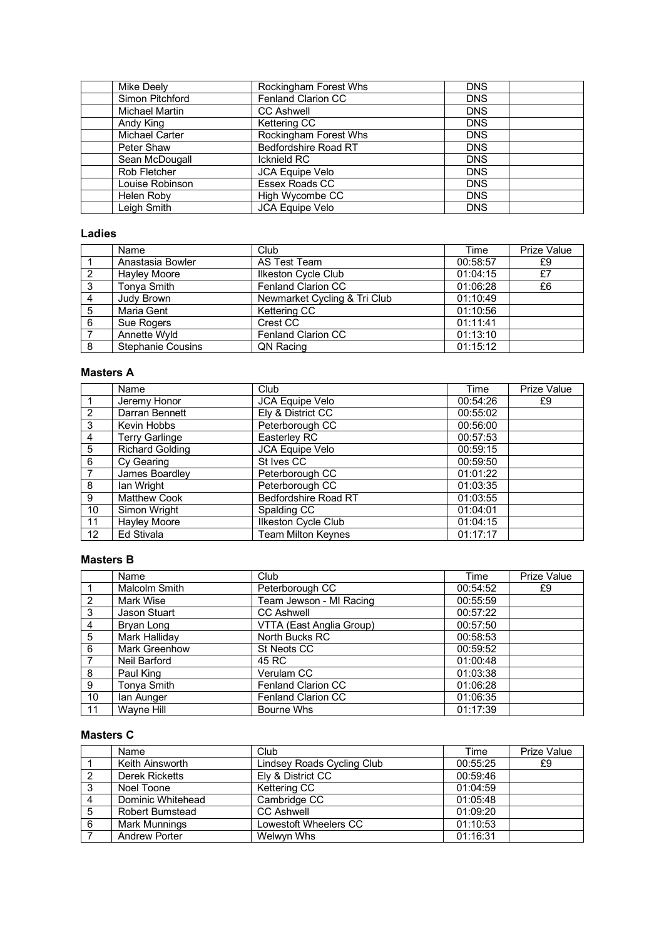| <b>Mike Deelv</b>     | Rockingham Forest Whs     | <b>DNS</b> |
|-----------------------|---------------------------|------------|
| Simon Pitchford       | <b>Fenland Clarion CC</b> | <b>DNS</b> |
| Michael Martin        | <b>CC Ashwell</b>         | <b>DNS</b> |
| Andy King             | Kettering CC              | <b>DNS</b> |
| <b>Michael Carter</b> | Rockingham Forest Whs     | <b>DNS</b> |
| Peter Shaw            | Bedfordshire Road RT      | <b>DNS</b> |
| Sean McDougall        | <b>Icknield RC</b>        | <b>DNS</b> |
| Rob Fletcher          | <b>JCA Equipe Velo</b>    | <b>DNS</b> |
| Louise Robinson       | Essex Roads CC            | <b>DNS</b> |
| Helen Roby            | High Wycombe CC           | <b>DNS</b> |
| Leigh Smith           | <b>JCA Equipe Velo</b>    | <b>DNS</b> |

### **Ladies**

|   | Name                     | Club                         | Time     | <b>Prize Value</b> |
|---|--------------------------|------------------------------|----------|--------------------|
|   | Anastasia Bowler         | AS Test Team                 | 00:58:57 | £9                 |
| 2 | Hayley Moore             | Ilkeston Cycle Club          | 01:04:15 | £7                 |
| 3 | Tonya Smith              | Fenland Clarion CC           | 01:06:28 | £6                 |
| 4 | Judy Brown               | Newmarket Cycling & Tri Club | 01:10:49 |                    |
| 5 | Maria Gent               | Kettering CC                 | 01:10:56 |                    |
| 6 | Sue Rogers               | Crest CC                     | 01:11:41 |                    |
|   | Annette Wyld             | Fenland Clarion CC           | 01:13:10 |                    |
| 8 | <b>Stephanie Cousins</b> | QN Racing                    | 01:15:12 |                    |

### **Masters A**

|                | Name                   | Club                        | Time     | <b>Prize Value</b> |
|----------------|------------------------|-----------------------------|----------|--------------------|
|                | Jeremy Honor           | <b>JCA Equipe Velo</b>      | 00:54:26 | £9                 |
| $\mathcal{P}$  | Darran Bennett         | Ely & District CC           | 00:55:02 |                    |
| 3              | Kevin Hobbs            | Peterborough CC             | 00:56:00 |                    |
| 4              | <b>Terry Garlinge</b>  | Easterley RC                | 00:57:53 |                    |
| 5              | <b>Richard Golding</b> | <b>JCA Equipe Velo</b>      | 00:59:15 |                    |
| 6              | Cy Gearing             | St Ives CC                  | 00:59:50 |                    |
| $\overline{7}$ | James Boardley         | Peterborough CC             | 01:01:22 |                    |
| 8              | Ian Wright             | Peterborough CC             | 01:03:35 |                    |
| 9              | <b>Matthew Cook</b>    | <b>Bedfordshire Road RT</b> | 01:03:55 |                    |
| 10             | Simon Wright           | Spalding CC                 | 01:04:01 |                    |
| 11             | <b>Hayley Moore</b>    | Ilkeston Cycle Club         | 01:04:15 |                    |
| 12             | <b>Ed Stivala</b>      | <b>Team Milton Keynes</b>   | 01:17:17 |                    |

## **Masters B**

|                | Name                 | Club                      | Time     | <b>Prize Value</b> |
|----------------|----------------------|---------------------------|----------|--------------------|
|                | Malcolm Smith        | Peterborough CC           | 00:54:52 | £9                 |
| $\mathcal{P}$  | Mark Wise            | Team Jewson - MI Racing   | 00:55:59 |                    |
| 3              | Jason Stuart         | <b>CC Ashwell</b>         | 00:57:22 |                    |
| 4              | Bryan Long           | VTTA (East Anglia Group)  | 00:57:50 |                    |
| 5              | Mark Halliday        | North Bucks RC            | 00:58:53 |                    |
| 6              | <b>Mark Greenhow</b> | St Neots CC               | 00:59:52 |                    |
| $\overline{7}$ | Neil Barford         | 45 RC                     | 01:00:48 |                    |
| 8              | Paul King            | Verulam CC                | 01:03:38 |                    |
| 9              | Tonya Smith          | <b>Fenland Clarion CC</b> | 01:06:28 |                    |
| 10             | lan Aunger           | <b>Fenland Clarion CC</b> | 01:06:35 |                    |
| 11             | Wayne Hill           | Bourne Whs                | 01:17:39 |                    |

## **Masters C**

|   | Name                 | Club                       | Time     | Prize Value |
|---|----------------------|----------------------------|----------|-------------|
|   | Keith Ainsworth      | Lindsey Roads Cycling Club | 00:55:25 | £9          |
|   | Derek Ricketts       | Elv & District CC          | 00:59:46 |             |
| 3 | Noel Toone           | Kettering CC               | 01:04:59 |             |
| 4 | Dominic Whitehead    | Cambridge CC               | 01:05:48 |             |
| 5 | Robert Bumstead      | <b>CC Ashwell</b>          | 01:09:20 |             |
| 6 | Mark Munnings        | Lowestoft Wheelers CC      | 01:10:53 |             |
|   | <b>Andrew Porter</b> | Welwyn Whs                 | 01:16:31 |             |